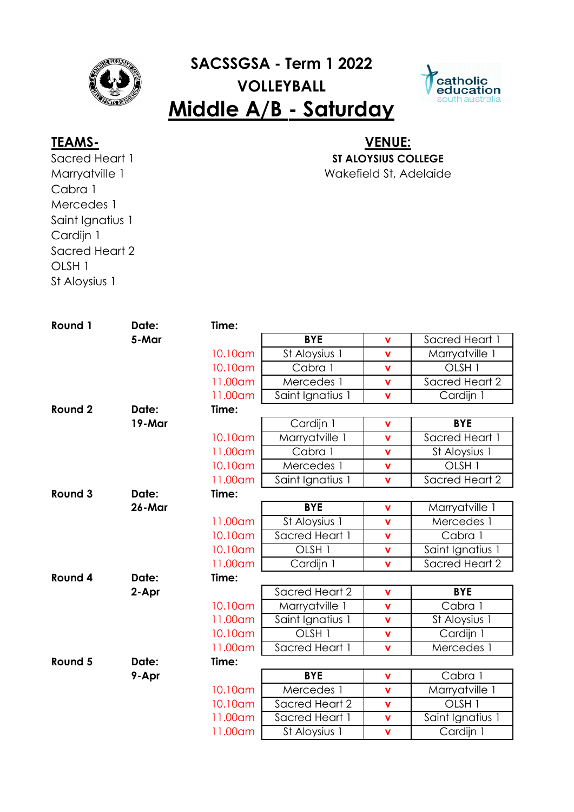

# **SACSSGSA - Term 1 2022 VOLLEYBALL Middle A/B - Saturday**



Sacred Heart 1 Marryatville 1 Cabra 1 Mercedes 1 Saint Ignatius 1 Cardijn 1 Sacred Heart 2 OLSH 1 St Aloysius 1

### Wakefield St, Adelaide **TEAMS- VENUE: ST ALOYSIUS COLLEGE**

| Round 1 | Date:  | Time:   |                   |                         |                   |
|---------|--------|---------|-------------------|-------------------------|-------------------|
|         | 5-Mar  |         | <b>BYE</b>        | $\mathbf v$             | Sacred Heart 1    |
|         |        | 10.10am | St Aloysius 1     | $\mathbf v$             | Marryatville 1    |
|         |        | 10.10am | Cabra 1           | $\overline{\mathsf{v}}$ | OLSH <sub>1</sub> |
|         |        | 11.00am | Mercedes 1        | $\mathbf v$             | Sacred Heart 2    |
|         |        | 11.00am | Saint Ignatius 1  | $\mathbf v$             | Cardijn 1         |
| Round 2 | Date:  | Time:   |                   |                         |                   |
|         | 19-Mar |         | Cardijn 1         | $\mathbf v$             | <b>BYE</b>        |
|         |        | 10.10am | Marryatville 1    | $\mathbf v$             | Sacred Heart 1    |
|         |        | 11.00am | Cabra 1           | $\mathbf v$             | St Aloysius 1     |
|         |        | 10.10am | Mercedes 1        | $\mathbf v$             | OLSH <sub>1</sub> |
|         |        | 11.00am | Saint Ignatius 1  | $\mathbf v$             | Sacred Heart 2    |
| Round 3 | Date:  | Time:   |                   |                         |                   |
|         | 26-Mar |         | <b>BYE</b>        | $\mathbf v$             | Marryatville 1    |
|         |        | 11.00am | St Aloysius 1     | $\mathbf V$             | Mercedes 1        |
|         |        | 10.10am | Sacred Heart 1    | $\overline{\mathsf{v}}$ | Cabra 1           |
|         |        | 10.10am | OLSH <sub>1</sub> | $\mathbf v$             | Saint Ignatius 1  |
|         |        | 11.00am | Cardijn 1         | $\mathbf v$             | Sacred Heart 2    |
| Round 4 | Date:  | Time:   |                   |                         |                   |
|         | 2-Apr  |         | Sacred Heart 2    | $\mathbf v$             | <b>BYE</b>        |
|         |        | 10.10am | Marryatville 1    | $\mathbf v$             | Cabra 1           |
|         |        | 11.00am | Saint Ignatius 1  | $\mathbf v$             | St Aloysius 1     |
|         |        | 10.10am | OLSH <sub>1</sub> | $\mathbf v$             | Cardijn 1         |
|         |        | 11.00am | Sacred Heart 1    | $\overline{\mathsf{v}}$ | Mercedes 1        |
| Round 5 | Date:  | Time:   |                   |                         |                   |
|         | 9-Apr  |         | <b>BYE</b>        | $\mathbf v$             | Cabra 1           |
|         |        | 10.10am | Mercedes 1        | $\mathbf v$             | Marryatville 1    |
|         |        | 10.10am | Sacred Heart 2    | $\mathbf{v}$            | OLSH <sub>1</sub> |
|         |        | 11.00am | Sacred Heart 1    | $\mathbf v$             | Saint Ignatius 1  |
|         |        | 11.00am | St Aloysius 1     | $\mathbf v$             | Cardijn 1         |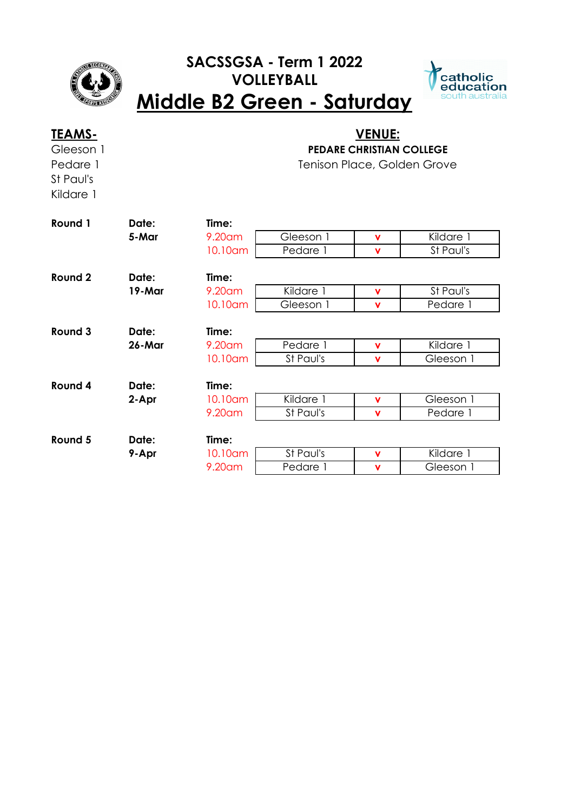

## **SACSSGSA - Term 1 2022 VOLLEYBALL Middle B2 Green - Saturday**



| <u>TEAMS-</u><br>Gleeson 1<br>Pedare 1<br>St Paul's<br>Kildare 1 |                 |         | <u>VENUE:</u><br><b>PEDARE CHRISTIAN COLLEGE</b><br>Tenison Place, Golden Grove |             |           |  |  |
|------------------------------------------------------------------|-----------------|---------|---------------------------------------------------------------------------------|-------------|-----------|--|--|
| Round 1                                                          | Date:           | Time:   |                                                                                 |             |           |  |  |
|                                                                  | 5-Mar           | 9.20am  | Gleeson 1                                                                       | v           | Kildare 1 |  |  |
|                                                                  |                 | 10.10am | Pedare 1                                                                        | v           | St Paul's |  |  |
| Round 2                                                          | Date:           | Time:   |                                                                                 |             |           |  |  |
|                                                                  | 19-Mar          | 9.20am  | Kildare 1                                                                       | v           | St Paul's |  |  |
|                                                                  |                 | 10.10am | Gleeson 1                                                                       | v           | Pedare 1  |  |  |
| Round 3                                                          |                 | Time:   |                                                                                 |             |           |  |  |
|                                                                  | Date:<br>26-Mar | 9.20am  | Pedare 1                                                                        |             | Kildare 1 |  |  |
|                                                                  |                 |         | St Paul's                                                                       | v           |           |  |  |
|                                                                  |                 | 10.10am |                                                                                 | $\mathbf v$ | Gleeson 1 |  |  |
| Round 4                                                          | Date:           | Time:   |                                                                                 |             |           |  |  |
|                                                                  | 2-Apr           | 10.10am | Kildare 1                                                                       | <b>V</b>    | Gleeson 1 |  |  |
|                                                                  |                 | 9.20am  | St Paul's                                                                       | v           | Pedare 1  |  |  |
| Round 5                                                          | Date:           | Time:   |                                                                                 |             |           |  |  |
|                                                                  | 9-Apr           | 10.10am | St Paul's                                                                       | v           | Kildare 1 |  |  |
|                                                                  |                 | 9.20am  | Pedare 1                                                                        | v           | Gleeson 1 |  |  |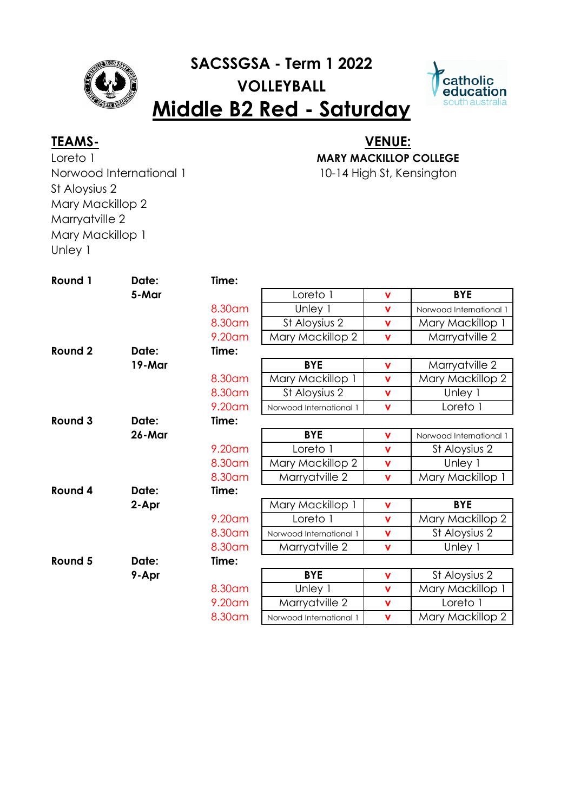

# **SACSSGSA - Term 1 2022 VOLLEYBALL Middle B2 Red - Saturday**



Loreto 1 Norwood International 1 St Aloysius 2 Mary Mackillop 2 Marryatville 2 Mary Mackillop 1 Unley 1

## 10-14 High St, Kensington **TEAMS- VENUE: MARY MACKILLOP COLLEGE**

**Round 1 Date: Time: 5-Mar** Loreto 1 **v BYE** 8.30am Unley 1 **v** Norwood International 1 8.30am St Aloysius 2 **v** Mary Mackillop 1 9.20am Mary Mackillop 2 **v** Marryatville 2 **Round 2 Date: Time: 19-Mar BYE v** Marryatville 2 8.30am Mary Mackillop 1 **v** Mary Mackillop 2 8.30am St Aloysius 2 **v** Unley 1 9.20am Norwood International 1 **v** Loreto 1 **Round 3 Date: Time: 26-Mar BYE v** Norwood International 1 9.20am Loreto 1 **v** St Aloysius 2 8.30am Mary Mackillop 2 **v** Unley 1 8.30am Marryatville 2 **v** Mary Mackillop 1 **Round 4 Date: Time: 2-Apr Mary Mackillop 1 | <b>v** | **BYE** 9.20am Loreto 1 **v** Mary Mackillop 2 8.30am Norwood International 1 **v** St Aloysius 2 8.30am | Marryatville 2 | **v** | Unley 1 **Round 5 Date: Time: 9-Apr BYE v** St Aloysius 2 8.30am Unley 1 **v** Mary Mackillop 1 9.20am Marryatville 2 **v** Loreto 1 8.30am Norwood International 1 **v** Mary Mackillop 2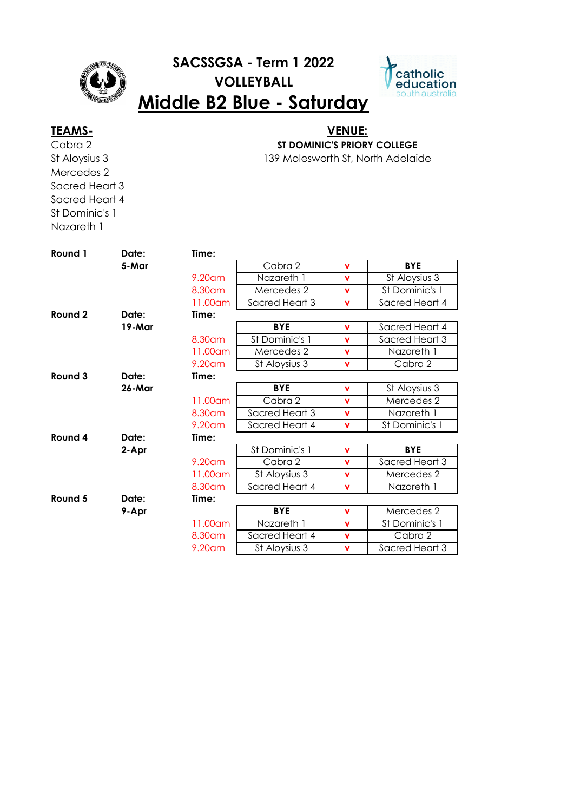

## **SACSSGSA - Term 1 2022 VOLLEYBALL Middle B2 Blue - Saturday**



## **TEAMS- VENUE:**

Cabra 2 St Aloysius 3 Mercedes 2 Sacred Heart 3 Sacred Heart 4 St Dominic's 1 Nazareth 1

**ST DOMINIC'S PRIORY COLLEGE**

139 Molesworth St, North Adelaide

| Round 1 | Date:  | Time:     |                |             |                |
|---------|--------|-----------|----------------|-------------|----------------|
|         | 5-Mar  |           | Cabra 2        | v           | <b>BYE</b>     |
|         |        | $9.20$ am | Nazareth 1     | v           | St Aloysius 3  |
|         |        | 8.30 am   | Mercedes 2     | v           | St Dominic's 1 |
|         |        | 11.00am   | Sacred Heart 3 | v           | Sacred Heart 4 |
| Round 2 | Date:  | Time:     |                |             |                |
|         | 19-Mar |           | <b>BYE</b>     | v           | Sacred Heart 4 |
|         |        | 8.30 am   | St Dominic's 1 | v           | Sacred Heart 3 |
|         |        | 11.00am   | Mercedes 2     | v           | Nazareth 1     |
|         |        | 9.20 am   | St Aloysius 3  | $\mathbf v$ | Cabra 2        |
| Round 3 | Date:  | Time:     |                |             |                |
|         | 26-Mar |           | <b>BYE</b>     | v           | St Aloysius 3  |
|         |        | 11.00am   | Cabra 2        | v           | Mercedes 2     |
|         |        | 8.30 am   | Sacred Heart 3 | v           | Nazareth 1     |
|         |        | 9.20am    | Sacred Heart 4 | v           | St Dominic's 1 |
| Round 4 | Date:  | Time:     |                |             |                |
|         | 2-Apr  |           | St Dominic's 1 | v           | <b>BYE</b>     |
|         |        | $9.20$ am | Cabra 2        | v           | Sacred Heart 3 |
|         |        | 11.00am   | St Aloysius 3  | v           | Mercedes 2     |
|         |        | 8.30 am   | Sacred Heart 4 | v           | Nazareth 1     |
| Round 5 | Date:  | Time:     |                |             |                |
|         | 9-Apr  |           | <b>BYE</b>     | v           | Mercedes 2     |
|         |        | 11.00am   | Nazareth 1     | v           | St Dominic's 1 |
|         |        | 8.30 am   | Sacred Heart 4 | v           | Cabra 2        |
|         |        | 9.20am    | St Aloysius 3  | v           | Sacred Heart 3 |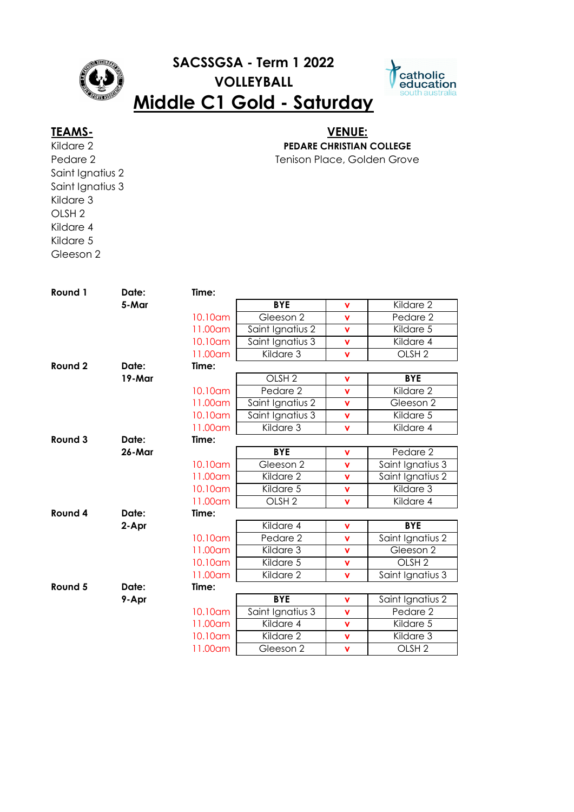

# **SACSSGSA - Term 1 2022 VOLLEYBALL**



## **Middle C1 Gold - Saturday**

Kildare 2 Pedare 2 Saint Ignatius 2 Saint Ignatius 3 Kildare 3 OLSH 2 Kildare 4 Kildare 5 Gleeson 2

### Tenison Place, Golden Grove **TEAMS- VENUE: PEDARE CHRISTIAN COLLEGE**

**Round 1 Date: Time: 5-Mar BYE v** Kildare 2 10.10am Gleeson 2 **v** Pedare 2 11.00am Saint Ignatius 2 **v** Kildare 5 10.10am Saint Ignatius 3 **v** Kildare 4 11.00am Kildare 3 **v** OLSH 2 **Round 2 Date: Time: 19-Mar** OLSH 2 **v BYE** 10.10am Pedare 2 **v** Kildare 2 11.00am Saint Ignatius 2 **v** Gleeson 2 10.10am Saint Ignatius 3 **v** Kildare 5 11.00am Kildare 3 **v** Kildare 4 **Round 3 Date: Time: 26-Mar BYE v** Pedare 2 10.10am Gleeson 2 **v** Saint Ignatius 3 11.00am Kildare 2 **v** Saint Ignatius 2 10.10am Kildare 5 **v** Kildare 3 11.00am OLSH 2 **v** Kildare 4 **Round 4 Date: Time: 2-Apr** Kildare 4 **v BYE** 10.10am Pedare 2 **v** Saint Ignatius 2 11.00am Kildare 3 **v** Gleeson 2 10.10am Kildare 5 **v** OLSH 2 11.00am Kildare 2 **v** Saint Ignatius 3 **Round 5 Date: Time: 9-Apr BYE v** Saint Ignatius 2 10.10am Saint Ignatius 3 **v** Pedare 2 11.00am Kildare 4 **v** Kildare 5 10.10am Kildare 2 **v** Kildare 3 11.00am Gleeson 2 **v** OLSH 2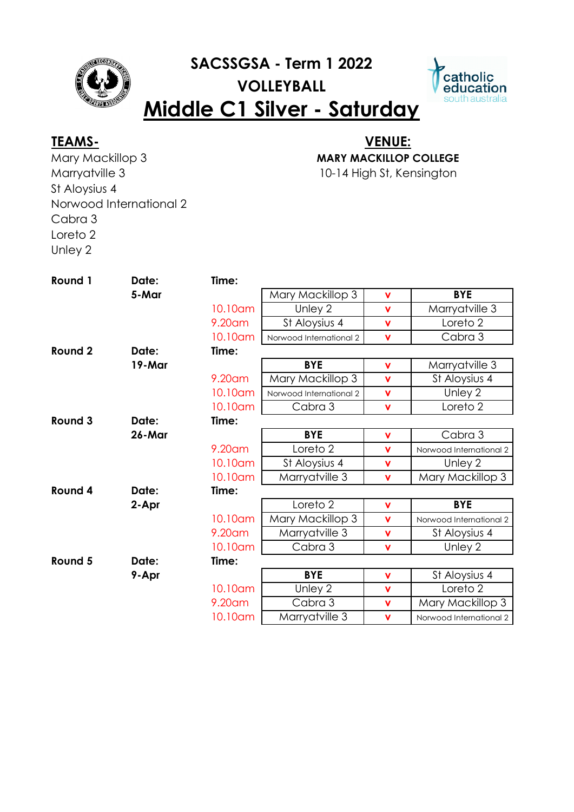

# **SACSSGSA - Term 1 2022 VOLLEYBALL Middle C1 Silver - Saturday**



Mary Mackillop 3 Marryatville 3 St Aloysius 4 Norwood International 2 Cabra 3 Loreto 2 Unley 2

## 10-14 High St, Kensington **TEAMS- VENUE: MARY MACKILLOP COLLEGE**

**Round 1 Date: Time: 5-Mar** Mary Mackillop 3 **v** BYE 10.10am Unley 2 **v** Marryatville 3 9.20am St Aloysius 4 **v** Loreto 2 10.10am | Norwood International 2 | v Cabra 3 **Round 2 Date: Time: 19-Mar BYE v** Marryatville 3 9.20am | Mary Mackillop 3 | v | St Aloysius 4 10.10am | Norwood International 2 | v | Unley 2 10.10am Cabra 3 **v** Loreto 2 **Round 3 Date: Time: 26-Mar BYE v** Cabra 3 9.20am Loreto 2 **v** Norwood International 2 10.10am St Aloysius 4 **v** Unley 2 10.10am Marryatville 3 **v** Mary Mackillop 3 **Round 4 Date: Time: 2-Apr** Loreto 2 **v BYE** 10.10am | Mary Mackillop 3 | v | Norwood International 2 9.20am Marryatville 3 **v** St Aloysius 4 10.10am Cabra 3 **v** Unley 2 **Round 5 Date: Time: 9-Apr BYE v** St Aloysius 4 10.10am Unley 2 **v** Loreto 2 9.20am Cabra 3 **v** Mary Mackillop 3 10.10am Marryatville 3 **v** Norwood International 2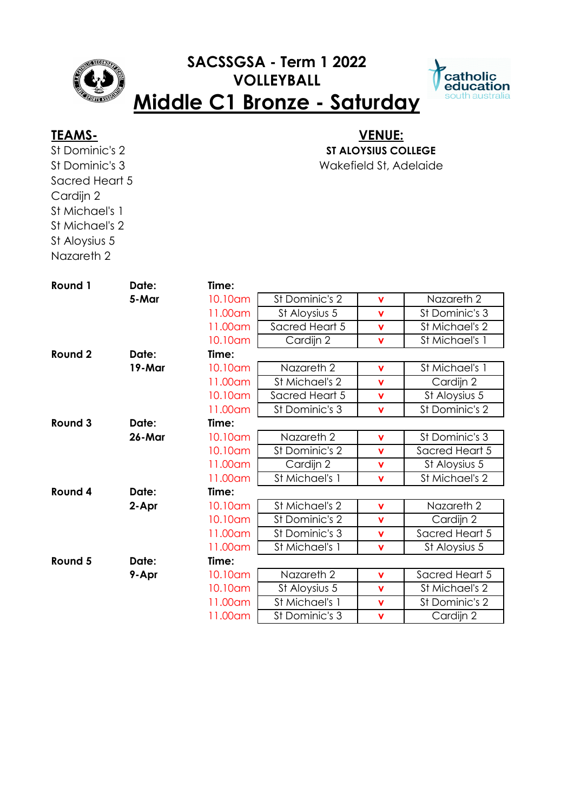## **SACSSGSA - Term 1 2022 VOLLEYBALL Middle C1 Bronze - Saturday**



St Dominic's 2 St Dominic's 3 Sacred Heart 5 Cardijn 2 St Michael's 1 St Michael's 2 St Aloysius 5

Nazareth 2

## Wakefield St, Adelaide **TEAMS- VENUE: ST ALOYSIUS COLLEGE**

| Round 1 | Date:  | Time:   |                |             |                |
|---------|--------|---------|----------------|-------------|----------------|
|         | 5-Mar  | 10.10am | St Dominic's 2 | $\mathbf v$ | Nazareth 2     |
|         |        | 11.00am | St Aloysius 5  | $\mathbf v$ | St Dominic's 3 |
|         |        | 11.00am | Sacred Heart 5 | $\mathbf v$ | St Michael's 2 |
|         |        | 10.10am | Cardijn 2      | $\mathbf v$ | St Michael's 1 |
| Round 2 | Date:  | Time:   |                |             |                |
|         | 19-Mar | 10.10am | Nazareth 2     | $\mathbf v$ | St Michael's 1 |
|         |        | 11.00am | St Michael's 2 | $\mathbf v$ | Cardijn 2      |
|         |        | 10.10am | Sacred Heart 5 | $\mathbf v$ | St Aloysius 5  |
|         |        | 11.00am | St Dominic's 3 | $\mathbf v$ | St Dominic's 2 |
| Round 3 | Date:  | Time:   |                |             |                |
|         | 26-Mar | 10.10am | Nazareth 2     | $\mathbf v$ | St Dominic's 3 |
|         |        | 10.10am | St Dominic's 2 | $\mathbf v$ | Sacred Heart 5 |
|         |        | 11.00am | Cardijn 2      | $\mathbf v$ | St Aloysius 5  |
|         |        | 11.00am | St Michael's 1 | $\mathbf v$ | St Michael's 2 |
| Round 4 | Date:  | Time:   |                |             |                |
|         | 2-Apr  | 10.10am | St Michael's 2 | $\mathbf v$ | Nazareth 2     |
|         |        | 10.10am | St Dominic's 2 | $\mathbf v$ | Cardijn 2      |
|         |        | 11.00am | St Dominic's 3 | $\mathbf v$ | Sacred Heart 5 |
|         |        | 11.00am | St Michael's 1 | $\mathbf v$ | St Aloysius 5  |
| Round 5 | Date:  | Time:   |                |             |                |
|         | 9-Apr  | 10.10am | Nazareth 2     | $\mathbf v$ | Sacred Heart 5 |
|         |        | 10.10am | St Aloysius 5  | $\mathbf v$ | St Michael's 2 |
|         |        | 11.00am | St Michael's 1 | $\mathbf v$ | St Dominic's 2 |
|         |        | 11.00am | St Dominic's 3 | $\mathbf v$ | Cardijn 2      |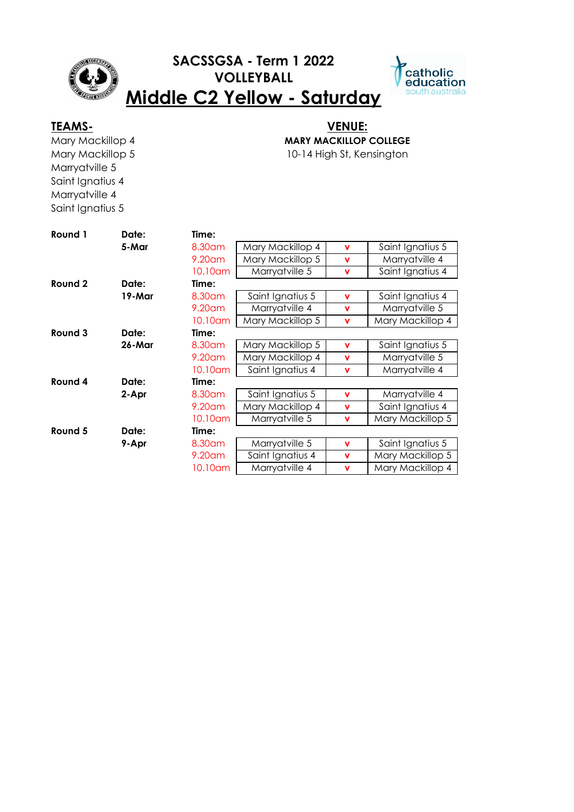

# **SACSSGSA - Term 1 2022 VOLLEYBALL**



# **Middle C2 Yellow - Saturday**

Mary Mackillop 4 Mary Mackillop 5 Marryatville 5 Saint Ignatius 4 Marryatville 4 Saint Ignatius 5

## **TEAMS- VENUE: MARY MACKILLOP COLLEGE**

10-14 High St, Kensington

| Round 1 | Date:  | Time:     |                  |             |                  |
|---------|--------|-----------|------------------|-------------|------------------|
|         | 5-Mar  | 8.30 am   | Mary Mackillop 4 | $\mathbf v$ | Saint Ignatius 5 |
|         |        | $9.20$ am | Mary Mackillop 5 | $\mathbf v$ | Marryatville 4   |
|         |        | 10.10am   | Marryatville 5   | v           | Saint Ignatius 4 |
| Round 2 | Date:  | Time:     |                  |             |                  |
|         | 19-Mar | 8.30 am   | Saint Ignatius 5 | v           | Saint Ignatius 4 |
|         |        | $9.20$ am | Marryatville 4   | $\mathbf v$ | Marryatville 5   |
|         |        | 10.10am   | Mary Mackillop 5 | v           | Mary Mackillop 4 |
| Round 3 | Date:  | Time:     |                  |             |                  |
|         | 26-Mar | 8.30 am   | Mary Mackillop 5 | v           | Saint Ignatius 5 |
|         |        | $9.20$ am | Mary Mackillop 4 | $\mathbf v$ | Marryatville 5   |
|         |        | 10.10am   | Saint Ignatius 4 | v           | Marryatville 4   |
| Round 4 | Date:  | Time:     |                  |             |                  |
|         | 2-Apr  | 8.30 am   | Saint Ignatius 5 | $\mathbf v$ | Marryatville 4   |
|         |        | 9.20 am   | Mary Mackillop 4 | $\mathbf v$ | Saint Ignatius 4 |
|         |        | 10.10am   | Marryatville 5   | v           | Mary Mackillop 5 |
| Round 5 | Date:  | Time:     |                  |             |                  |
|         | 9-Apr  | 8.30 am   | Marryatville 5   | v           | Saint Ignatius 5 |
|         |        | $9.20$ am | Saint Ignatius 4 | $\mathbf v$ | Mary Mackillop 5 |
|         |        | 10.10am   | Marryatville 4   | $\mathbf v$ | Mary Mackillop 4 |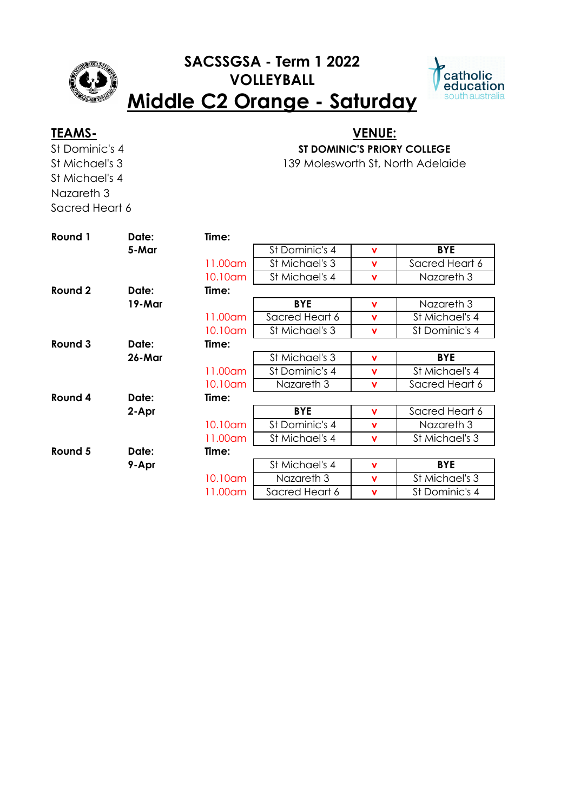

## **SACSSGSA - Term 1 2022 VOLLEYBALL Middle C2 Orange - Saturday**



St Dominic's 4 St Michael's 3 St Michael's 4 Nazareth 3 Sacred Heart 6

### 139 Molesworth St, North Adelaide **TEAMS- VENUE: ST DOMINIC'S PRIORY COLLEGE**

| Round 1 | Date:  | Time:   |                |             |                |
|---------|--------|---------|----------------|-------------|----------------|
|         | 5-Mar  |         | St Dominic's 4 | $\mathbf v$ | <b>BYE</b>     |
|         |        | 11.00am | St Michael's 3 | v           | Sacred Heart 6 |
|         |        | 10.10am | St Michael's 4 | $\mathbf v$ | Nazareth 3     |
| Round 2 | Date:  | Time:   |                |             |                |
|         | 19-Mar |         | <b>BYE</b>     | $\mathbf v$ | Nazareth 3     |
|         |        | 11.00am | Sacred Heart 6 | $\mathbf v$ | St Michael's 4 |
|         |        | 10.10am | St Michael's 3 | $\mathbf v$ | St Dominic's 4 |
| Round 3 | Date:  | Time:   |                |             |                |
|         | 26-Mar |         | St Michael's 3 | $\mathbf v$ | <b>BYE</b>     |
|         |        | 11.00am | St Dominic's 4 | v           | St Michael's 4 |
|         |        | 10.10am | Nazareth 3     | $\mathbf v$ | Sacred Heart 6 |
| Round 4 | Date:  | Time:   |                |             |                |
|         | 2-Apr  |         | <b>BYE</b>     | $\mathbf v$ | Sacred Heart 6 |
|         |        | 10.10am | St Dominic's 4 | $\mathbf v$ | Nazareth 3     |
|         |        | 11.00am | St Michael's 4 | $\mathbf v$ | St Michael's 3 |
| Round 5 | Date:  | Time:   |                |             |                |
|         | 9-Apr  |         | St Michael's 4 | v           | <b>BYE</b>     |
|         |        | 10.10am | Nazareth 3     | v           | St Michael's 3 |
|         |        | 11.00am | Sacred Heart 6 | $\mathbf v$ | St Dominic's 4 |